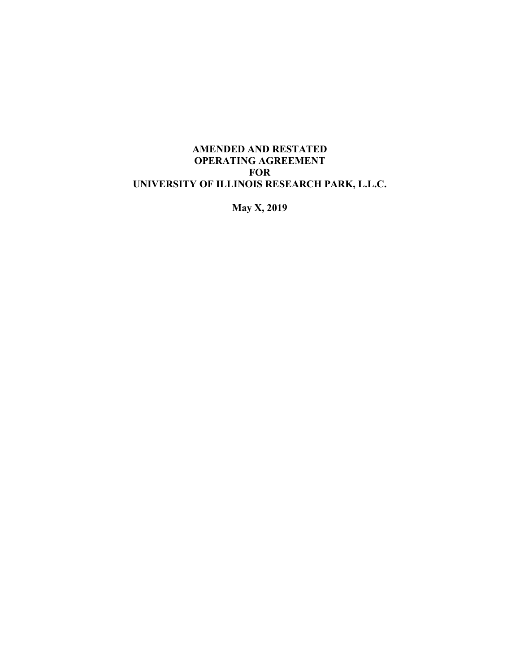## **AMENDED AND RESTATED OPERATING AGREEMENT FOR UNIVERSITY OF ILLINOIS RESEARCH PARK, L.L.C.**

**May X, 2019**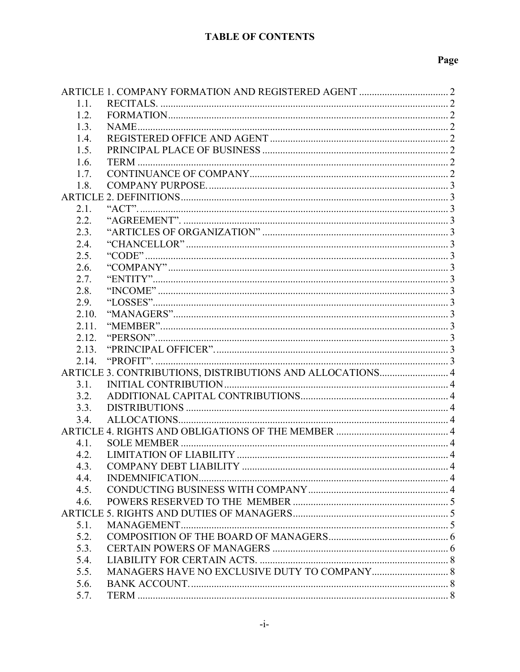# **TABLE OF CONTENTS**

# Page

| 1.1.                                                      |  |  |  |
|-----------------------------------------------------------|--|--|--|
| 1.2.                                                      |  |  |  |
| 1.3.                                                      |  |  |  |
| 1.4.                                                      |  |  |  |
| 1.5.                                                      |  |  |  |
| 1.6.                                                      |  |  |  |
| 1.7.                                                      |  |  |  |
| 1.8.                                                      |  |  |  |
|                                                           |  |  |  |
| 2.1.                                                      |  |  |  |
| 2.2.                                                      |  |  |  |
| 2.3.                                                      |  |  |  |
| 2.4.                                                      |  |  |  |
| 2.5.                                                      |  |  |  |
| 2.6.                                                      |  |  |  |
| 2.7.                                                      |  |  |  |
| 2.8.                                                      |  |  |  |
| 2.9.                                                      |  |  |  |
| 2.10.                                                     |  |  |  |
|                                                           |  |  |  |
| 2.11.                                                     |  |  |  |
| 2.12.                                                     |  |  |  |
| 2.13.                                                     |  |  |  |
| 2.14.                                                     |  |  |  |
| ARTICLE 3. CONTRIBUTIONS, DISTRIBUTIONS AND ALLOCATIONS 4 |  |  |  |
| 3.1.                                                      |  |  |  |
| 3.2.                                                      |  |  |  |
| 3.3.                                                      |  |  |  |
| 3.4.                                                      |  |  |  |
|                                                           |  |  |  |
| 4.1.                                                      |  |  |  |
| 4.2.                                                      |  |  |  |
| 4.3.                                                      |  |  |  |
| 4.4.                                                      |  |  |  |
| 4.5.                                                      |  |  |  |
| 4.6.                                                      |  |  |  |
|                                                           |  |  |  |
| 5.1.                                                      |  |  |  |
| 5.2.                                                      |  |  |  |
| 5.3.                                                      |  |  |  |
| 5.4.                                                      |  |  |  |
| 5.5.                                                      |  |  |  |
| 5.6.                                                      |  |  |  |
| 5.7.                                                      |  |  |  |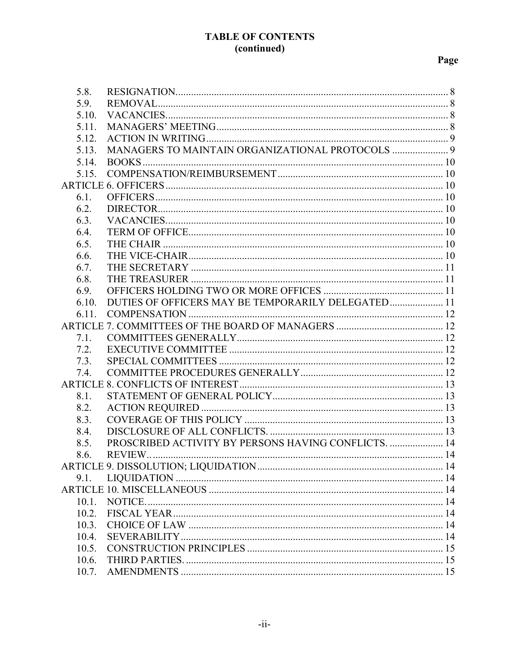## **TABLE OF CONTENTS** (continued)

# Page

| 5.8. |       |                                                    |  |
|------|-------|----------------------------------------------------|--|
| 5.9. |       |                                                    |  |
|      | 5.10. |                                                    |  |
|      | 5.11. |                                                    |  |
|      | 5.12. |                                                    |  |
|      | 5.13. | MANAGERS TO MAINTAIN ORGANIZATIONAL PROTOCOLS  9   |  |
|      | 5.14. |                                                    |  |
|      | 5.15. |                                                    |  |
|      |       |                                                    |  |
| 6.1. |       |                                                    |  |
| 6.2. |       |                                                    |  |
| 6.3. |       |                                                    |  |
| 6.4. |       |                                                    |  |
| 6.5. |       |                                                    |  |
| 6.6. |       |                                                    |  |
| 6.7. |       |                                                    |  |
| 6.8. |       |                                                    |  |
| 6.9. |       |                                                    |  |
|      | 6.10. | DUTIES OF OFFICERS MAY BE TEMPORARILY DELEGATED 11 |  |
|      | 6.11. |                                                    |  |
|      |       |                                                    |  |
|      | 7.1.  |                                                    |  |
| 7.2. |       |                                                    |  |
| 7.3. |       |                                                    |  |
|      | 7.4.  |                                                    |  |
|      |       |                                                    |  |
| 8.1. |       |                                                    |  |
| 8.2. |       |                                                    |  |
| 8.3. |       |                                                    |  |
| 8.4. |       |                                                    |  |
| 8.5. |       |                                                    |  |
| 8.6. |       |                                                    |  |
|      |       |                                                    |  |
| 9.1. |       |                                                    |  |
|      |       |                                                    |  |
|      | 10.1. |                                                    |  |
|      | 10.2. |                                                    |  |
|      | 10.3. |                                                    |  |
|      | 10.4. |                                                    |  |
|      | 10.5. |                                                    |  |
|      | 10.6. |                                                    |  |
|      | 10.7. |                                                    |  |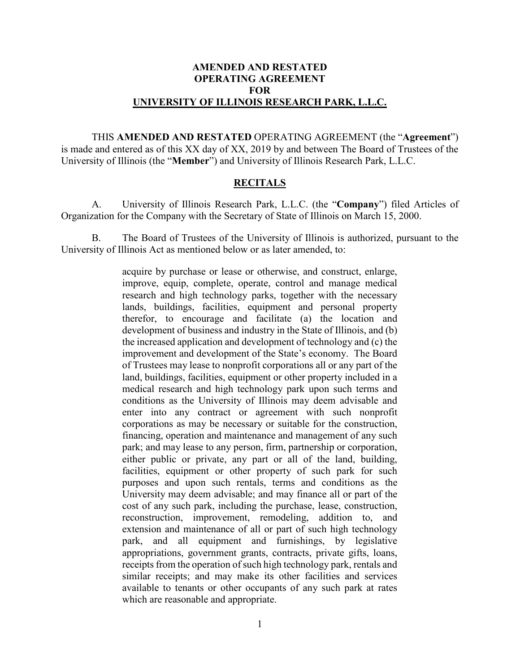#### **AMENDED AND RESTATED OPERATING AGREEMENT FOR UNIVERSITY OF ILLINOIS RESEARCH PARK, L.L.C.**

THIS **AMENDED AND RESTATED** OPERATING AGREEMENT (the "**Agreement**") is made and entered as of this XX day of XX, 2019 by and between The Board of Trustees of the University of Illinois (the "**Member**") and University of Illinois Research Park, L.L.C.

#### **RECITALS**

A. University of Illinois Research Park, L.L.C. (the "**Company**") filed Articles of Organization for the Company with the Secretary of State of Illinois on March 15, 2000.

B. The Board of Trustees of the University of Illinois is authorized, pursuant to the University of Illinois Act as mentioned below or as later amended, to:

> acquire by purchase or lease or otherwise, and construct, enlarge, improve, equip, complete, operate, control and manage medical research and high technology parks, together with the necessary lands, buildings, facilities, equipment and personal property therefor, to encourage and facilitate (a) the location and development of business and industry in the State of Illinois, and (b) the increased application and development of technology and (c) the improvement and development of the State's economy. The Board of Trustees may lease to nonprofit corporations all or any part of the land, buildings, facilities, equipment or other property included in a medical research and high technology park upon such terms and conditions as the University of Illinois may deem advisable and enter into any contract or agreement with such nonprofit corporations as may be necessary or suitable for the construction, financing, operation and maintenance and management of any such park; and may lease to any person, firm, partnership or corporation, either public or private, any part or all of the land, building, facilities, equipment or other property of such park for such purposes and upon such rentals, terms and conditions as the University may deem advisable; and may finance all or part of the cost of any such park, including the purchase, lease, construction, reconstruction, improvement, remodeling, addition to, and extension and maintenance of all or part of such high technology park, and all equipment and furnishings, by legislative appropriations, government grants, contracts, private gifts, loans, receipts from the operation of such high technology park, rentals and similar receipts; and may make its other facilities and services available to tenants or other occupants of any such park at rates which are reasonable and appropriate.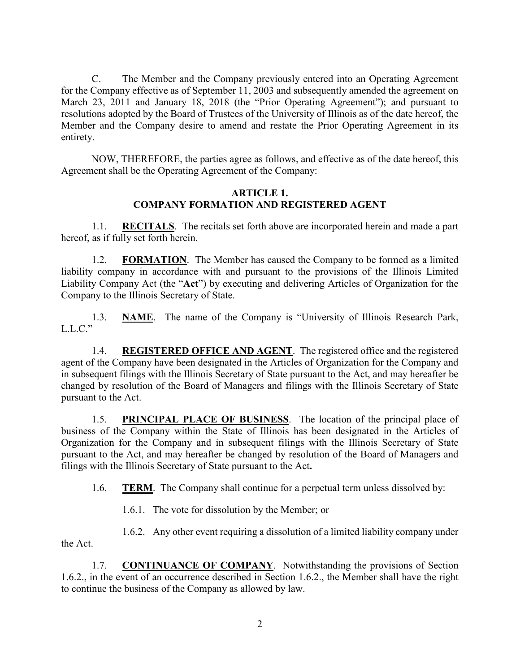C. The Member and the Company previously entered into an Operating Agreement for the Company effective as of September 11, 2003 and subsequently amended the agreement on March 23, 2011 and January 18, 2018 (the "Prior Operating Agreement"); and pursuant to resolutions adopted by the Board of Trustees of the University of Illinois as of the date hereof, the Member and the Company desire to amend and restate the Prior Operating Agreement in its entirety.

NOW, THEREFORE, the parties agree as follows, and effective as of the date hereof, this Agreement shall be the Operating Agreement of the Company:

#### **ARTICLE 1. COMPANY FORMATION AND REGISTERED AGENT**

<span id="page-4-1"></span><span id="page-4-0"></span>1.1. **RECITALS**. The recitals set forth above are incorporated herein and made a part hereof, as if fully set forth herein.

<span id="page-4-2"></span>1.2. **FORMATION**. The Member has caused the Company to be formed as a limited liability company in accordance with and pursuant to the provisions of the Illinois Limited Liability Company Act (the "**Act**") by executing and delivering Articles of Organization for the Company to the Illinois Secretary of State.

<span id="page-4-3"></span>1.3. **NAME**. The name of the Company is "University of Illinois Research Park,  $L.L.C.$ "

<span id="page-4-4"></span>1.4. **REGISTERED OFFICE AND AGENT**. The registered office and the registered agent of the Company have been designated in the Articles of Organization for the Company and in subsequent filings with the Illinois Secretary of State pursuant to the Act, and may hereafter be changed by resolution of the Board of Managers and filings with the Illinois Secretary of State pursuant to the Act.

<span id="page-4-5"></span>1.5. **PRINCIPAL PLACE OF BUSINESS**. The location of the principal place of business of the Company within the State of Illinois has been designated in the Articles of Organization for the Company and in subsequent filings with the Illinois Secretary of State pursuant to the Act, and may hereafter be changed by resolution of the Board of Managers and filings with the Illinois Secretary of State pursuant to the Act**.**

<span id="page-4-6"></span>1.6. **TERM**. The Company shall continue for a perpetual term unless dissolved by:

1.6.1. The vote for dissolution by the Member; or

1.6.2. Any other event requiring a dissolution of a limited liability company under the Act.

<span id="page-4-7"></span>1.7. **CONTINUANCE OF COMPANY**. Notwithstanding the provisions of Section 1.6.2., in the event of an occurrence described in Section 1.6.2., the Member shall have the right to continue the business of the Company as allowed by law.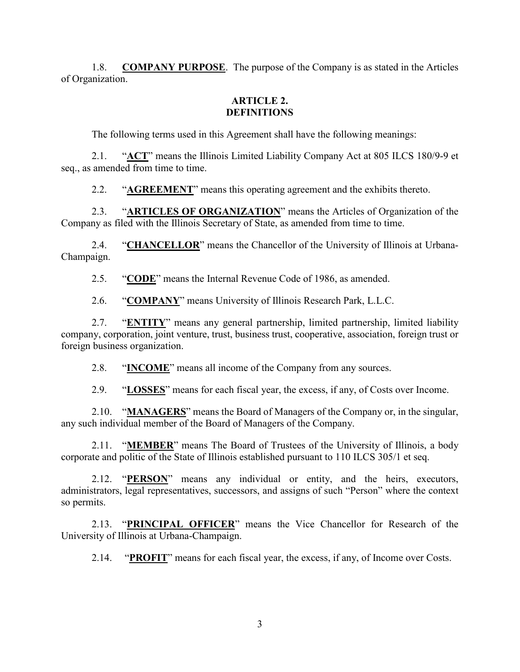<span id="page-5-0"></span>1.8. **COMPANY PURPOSE**. The purpose of the Company is as stated in the Articles of Organization.

#### **ARTICLE 2. DEFINITIONS**

<span id="page-5-1"></span>The following terms used in this Agreement shall have the following meanings:

<span id="page-5-2"></span>2.1. "**ACT**" means the Illinois Limited Liability Company Act at 805 ILCS 180/9-9 et seq., as amended from time to time.

2.2. "**AGREEMENT**" means this operating agreement and the exhibits thereto.

<span id="page-5-4"></span><span id="page-5-3"></span>2.3. "**ARTICLES OF ORGANIZATION**" means the Articles of Organization of the Company as filed with the Illinois Secretary of State, as amended from time to time.

<span id="page-5-5"></span>2.4. "**CHANCELLOR**" means the Chancellor of the University of Illinois at Urbana-Champaign.

<span id="page-5-6"></span>2.5. "**CODE**" means the Internal Revenue Code of 1986, as amended.

2.6. "**COMPANY**" means University of Illinois Research Park, L.L.C.

<span id="page-5-8"></span><span id="page-5-7"></span>2.7. "ENTITY" means any general partnership, limited partnership, limited liability company, corporation, joint venture, trust, business trust, cooperative, association, foreign trust or foreign business organization.

<span id="page-5-9"></span>2.8. "**INCOME**" means all income of the Company from any sources.

2.9. "**LOSSES**" means for each fiscal year, the excess, if any, of Costs over Income.

<span id="page-5-11"></span><span id="page-5-10"></span>2.10. "**MANAGERS**" means the Board of Managers of the Company or, in the singular, any such individual member of the Board of Managers of the Company.

<span id="page-5-12"></span>2.11. "**MEMBER**" means The Board of Trustees of the University of Illinois, a body corporate and politic of the State of Illinois established pursuant to 110 ILCS 305/1 et seq.

<span id="page-5-13"></span>2.12. "**PERSON**" means any individual or entity, and the heirs, executors, administrators, legal representatives, successors, and assigns of such "Person" where the context so permits.

<span id="page-5-14"></span>2.13. "**PRINCIPAL OFFICER**" means the Vice Chancellor for Research of the University of Illinois at Urbana-Champaign.

<span id="page-5-15"></span>2.14. "**PROFIT**" means for each fiscal year, the excess, if any, of Income over Costs.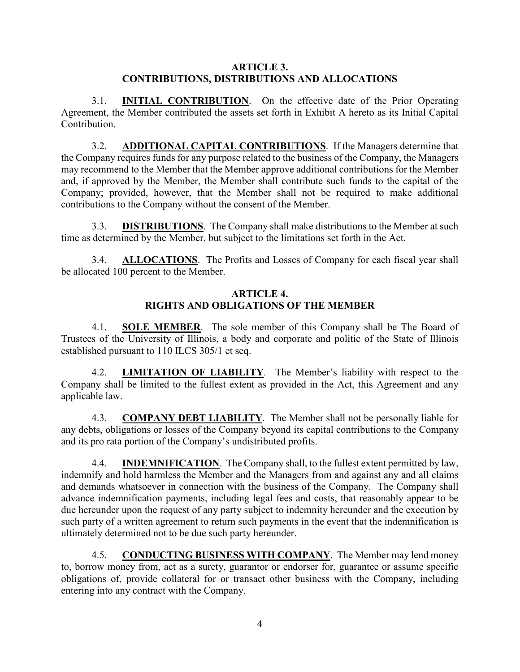#### **ARTICLE 3. CONTRIBUTIONS, DISTRIBUTIONS AND ALLOCATIONS**

<span id="page-6-1"></span><span id="page-6-0"></span>3.1. **INITIAL CONTRIBUTION**. On the effective date of the Prior Operating Agreement, the Member contributed the assets set forth in Exhibit A hereto as its Initial Capital Contribution.

<span id="page-6-2"></span>3.2. **ADDITIONAL CAPITAL CONTRIBUTIONS**. If the Managers determine that the Company requires funds for any purpose related to the business of the Company, the Managers may recommend to the Member that the Member approve additional contributions for the Member and, if approved by the Member, the Member shall contribute such funds to the capital of the Company; provided, however, that the Member shall not be required to make additional contributions to the Company without the consent of the Member.

<span id="page-6-3"></span>3.3. **DISTRIBUTIONS**. The Company shall make distributions to the Member at such time as determined by the Member, but subject to the limitations set forth in the Act.

<span id="page-6-4"></span>3.4. **ALLOCATIONS**. The Profits and Losses of Company for each fiscal year shall be allocated 100 percent to the Member.

#### **ARTICLE 4. RIGHTS AND OBLIGATIONS OF THE MEMBER**

<span id="page-6-6"></span><span id="page-6-5"></span>4.1. **SOLE MEMBER**. The sole member of this Company shall be The Board of Trustees of the University of Illinois, a body and corporate and politic of the State of Illinois established pursuant to 110 ILCS 305/1 et seq.

<span id="page-6-7"></span>4.2. **LIMITATION OF LIABILITY**. The Member's liability with respect to the Company shall be limited to the fullest extent as provided in the Act, this Agreement and any applicable law.

<span id="page-6-8"></span>4.3. **COMPANY DEBT LIABILITY**. The Member shall not be personally liable for any debts, obligations or losses of the Company beyond its capital contributions to the Company and its pro rata portion of the Company's undistributed profits.

<span id="page-6-9"></span>4.4. **INDEMNIFICATION**. The Company shall, to the fullest extent permitted by law, indemnify and hold harmless the Member and the Managers from and against any and all claims and demands whatsoever in connection with the business of the Company. The Company shall advance indemnification payments, including legal fees and costs, that reasonably appear to be due hereunder upon the request of any party subject to indemnity hereunder and the execution by such party of a written agreement to return such payments in the event that the indemnification is ultimately determined not to be due such party hereunder.

<span id="page-6-10"></span>4.5. **CONDUCTING BUSINESS WITH COMPANY**. The Member may lend money to, borrow money from, act as a surety, guarantor or endorser for, guarantee or assume specific obligations of, provide collateral for or transact other business with the Company, including entering into any contract with the Company.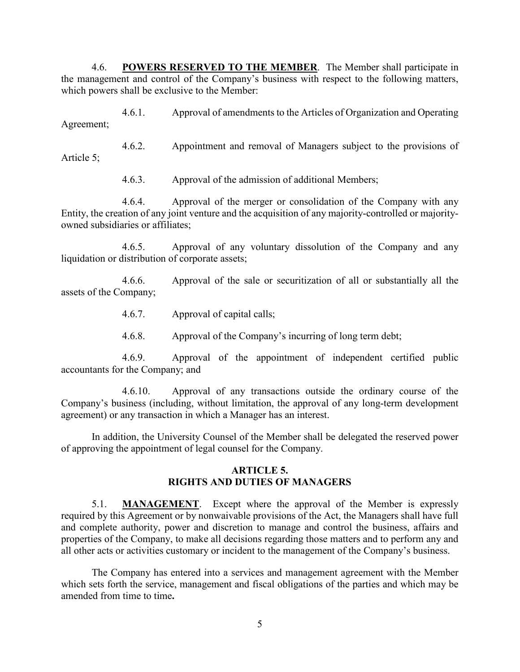<span id="page-7-0"></span>4.6. **POWERS RESERVED TO THE MEMBER**. The Member shall participate in the management and control of the Company's business with respect to the following matters, which powers shall be exclusive to the Member:

4.6.1. Approval of amendments to the Articles of Organization and Operating Agreement;

4.6.2. Appointment and removal of Managers subject to the provisions of Article 5;

4.6.3. Approval of the admission of additional Members;

4.6.4. Approval of the merger or consolidation of the Company with any Entity, the creation of any joint venture and the acquisition of any majority-controlled or majorityowned subsidiaries or affiliates;

4.6.5. Approval of any voluntary dissolution of the Company and any liquidation or distribution of corporate assets;

4.6.6. Approval of the sale or securitization of all or substantially all the assets of the Company;

- 4.6.7. Approval of capital calls;
- 4.6.8. Approval of the Company's incurring of long term debt;

4.6.9. Approval of the appointment of independent certified public accountants for the Company; and

4.6.10. Approval of any transactions outside the ordinary course of the Company's business (including, without limitation, the approval of any long-term development agreement) or any transaction in which a Manager has an interest.

In addition, the University Counsel of the Member shall be delegated the reserved power of approving the appointment of legal counsel for the Company.

#### **ARTICLE 5. RIGHTS AND DUTIES OF MANAGERS**

<span id="page-7-2"></span><span id="page-7-1"></span>5.1. **MANAGEMENT**. Except where the approval of the Member is expressly required by this Agreement or by nonwaivable provisions of the Act, the Managers shall have full and complete authority, power and discretion to manage and control the business, affairs and properties of the Company, to make all decisions regarding those matters and to perform any and all other acts or activities customary or incident to the management of the Company's business.

The Company has entered into a services and management agreement with the Member which sets forth the service, management and fiscal obligations of the parties and which may be amended from time to time**.**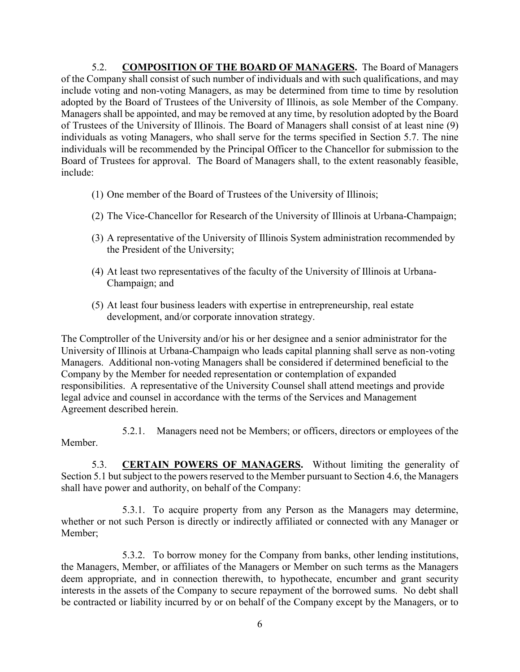<span id="page-8-0"></span>5.2. **COMPOSITION OF THE BOARD OF MANAGERS.** The Board of Managers of the Company shall consist of such number of individuals and with such qualifications, and may include voting and non-voting Managers, as may be determined from time to time by resolution adopted by the Board of Trustees of the University of Illinois, as sole Member of the Company. Managers shall be appointed, and may be removed at any time, by resolution adopted by the Board of Trustees of the University of Illinois. The Board of Managers shall consist of at least nine (9) individuals as voting Managers, who shall serve for the terms specified in Section 5.7. The nine individuals will be recommended by the Principal Officer to the Chancellor for submission to the Board of Trustees for approval. The Board of Managers shall, to the extent reasonably feasible, include:

- (1) One member of the Board of Trustees of the University of Illinois;
- (2) The Vice-Chancellor for Research of the University of Illinois at Urbana-Champaign;
- (3) A representative of the University of Illinois System administration recommended by the President of the University;
- (4) At least two representatives of the faculty of the University of Illinois at Urbana-Champaign; and
- (5) At least four business leaders with expertise in entrepreneurship, real estate development, and/or corporate innovation strategy.

The Comptroller of the University and/or his or her designee and a senior administrator for the University of Illinois at Urbana-Champaign who leads capital planning shall serve as non-voting Managers. Additional non-voting Managers shall be considered if determined beneficial to the Company by the Member for needed representation or contemplation of expanded responsibilities. A representative of the University Counsel shall attend meetings and provide legal advice and counsel in accordance with the terms of the Services and Management Agreement described herein.

5.2.1. Managers need not be Members; or officers, directors or employees of the Member.

<span id="page-8-1"></span>5.3. **CERTAIN POWERS OF MANAGERS.** Without limiting the generality of Section 5.1 but subject to the powers reserved to the Member pursuant to Section 4.6, the Managers shall have power and authority, on behalf of the Company:

5.3.1. To acquire property from any Person as the Managers may determine, whether or not such Person is directly or indirectly affiliated or connected with any Manager or Member;

5.3.2. To borrow money for the Company from banks, other lending institutions, the Managers, Member, or affiliates of the Managers or Member on such terms as the Managers deem appropriate, and in connection therewith, to hypothecate, encumber and grant security interests in the assets of the Company to secure repayment of the borrowed sums. No debt shall be contracted or liability incurred by or on behalf of the Company except by the Managers, or to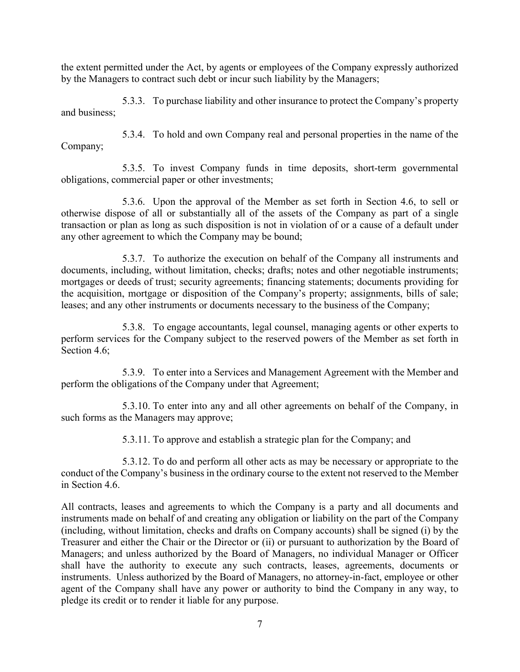the extent permitted under the Act, by agents or employees of the Company expressly authorized by the Managers to contract such debt or incur such liability by the Managers;

5.3.3. To purchase liability and other insurance to protect the Company's property and business;

5.3.4. To hold and own Company real and personal properties in the name of the Company;

5.3.5. To invest Company funds in time deposits, short-term governmental obligations, commercial paper or other investments;

5.3.6. Upon the approval of the Member as set forth in Section 4.6, to sell or otherwise dispose of all or substantially all of the assets of the Company as part of a single transaction or plan as long as such disposition is not in violation of or a cause of a default under any other agreement to which the Company may be bound;

5.3.7. To authorize the execution on behalf of the Company all instruments and documents, including, without limitation, checks; drafts; notes and other negotiable instruments; mortgages or deeds of trust; security agreements; financing statements; documents providing for the acquisition, mortgage or disposition of the Company's property; assignments, bills of sale; leases; and any other instruments or documents necessary to the business of the Company;

5.3.8. To engage accountants, legal counsel, managing agents or other experts to perform services for the Company subject to the reserved powers of the Member as set forth in Section 4.6;

5.3.9. To enter into a Services and Management Agreement with the Member and perform the obligations of the Company under that Agreement;

5.3.10. To enter into any and all other agreements on behalf of the Company, in such forms as the Managers may approve;

5.3.11. To approve and establish a strategic plan for the Company; and

5.3.12. To do and perform all other acts as may be necessary or appropriate to the conduct of the Company's business in the ordinary course to the extent not reserved to the Member in Section 4.6.

All contracts, leases and agreements to which the Company is a party and all documents and instruments made on behalf of and creating any obligation or liability on the part of the Company (including, without limitation, checks and drafts on Company accounts) shall be signed (i) by the Treasurer and either the Chair or the Director or (ii) or pursuant to authorization by the Board of Managers; and unless authorized by the Board of Managers, no individual Manager or Officer shall have the authority to execute any such contracts, leases, agreements, documents or instruments.Unless authorized by the Board of Managers, no attorney-in-fact, employee or other agent of the Company shall have any power or authority to bind the Company in any way, to pledge its credit or to render it liable for any purpose.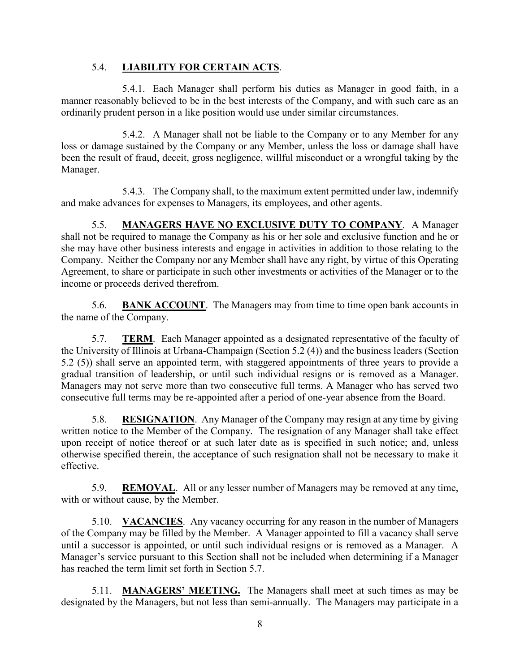## 5.4. **LIABILITY FOR CERTAIN ACTS**.

<span id="page-10-0"></span>5.4.1. Each Manager shall perform his duties as Manager in good faith, in a manner reasonably believed to be in the best interests of the Company, and with such care as an ordinarily prudent person in a like position would use under similar circumstances.

5.4.2. A Manager shall not be liable to the Company or to any Member for any loss or damage sustained by the Company or any Member, unless the loss or damage shall have been the result of fraud, deceit, gross negligence, willful misconduct or a wrongful taking by the Manager.

5.4.3. The Company shall, to the maximum extent permitted under law, indemnify and make advances for expenses to Managers, its employees, and other agents.

<span id="page-10-1"></span>5.5. **MANAGERS HAVE NO EXCLUSIVE DUTY TO COMPANY**. A Manager shall not be required to manage the Company as his or her sole and exclusive function and he or she may have other business interests and engage in activities in addition to those relating to the Company. Neither the Company nor any Member shall have any right, by virtue of this Operating Agreement, to share or participate in such other investments or activities of the Manager or to the income or proceeds derived therefrom.

<span id="page-10-2"></span>5.6. **BANK ACCOUNT**. The Managers may from time to time open bank accounts in the name of the Company.

<span id="page-10-3"></span>5.7. **TERM**. Each Manager appointed as a designated representative of the faculty of the University of Illinois at Urbana-Champaign (Section 5.2 (4)) and the business leaders (Section 5.2 (5)) shall serve an appointed term, with staggered appointments of three years to provide a gradual transition of leadership, or until such individual resigns or is removed as a Manager. Managers may not serve more than two consecutive full terms. A Manager who has served two consecutive full terms may be re-appointed after a period of one-year absence from the Board.

<span id="page-10-4"></span>5.8. **RESIGNATION**. Any Manager of the Company may resign at any time by giving written notice to the Member of the Company. The resignation of any Manager shall take effect upon receipt of notice thereof or at such later date as is specified in such notice; and, unless otherwise specified therein, the acceptance of such resignation shall not be necessary to make it effective.

<span id="page-10-5"></span>5.9. **REMOVAL**. All or any lesser number of Managers may be removed at any time, with or without cause, by the Member.

<span id="page-10-6"></span>5.10. **VACANCIES**. Any vacancy occurring for any reason in the number of Managers of the Company may be filled by the Member. A Manager appointed to fill a vacancy shall serve until a successor is appointed, or until such individual resigns or is removed as a Manager. A Manager's service pursuant to this Section shall not be included when determining if a Manager has reached the term limit set forth in Section 5.7.

<span id="page-10-7"></span>5.11. **MANAGERS' MEETING.** The Managers shall meet at such times as may be designated by the Managers, but not less than semi-annually. The Managers may participate in a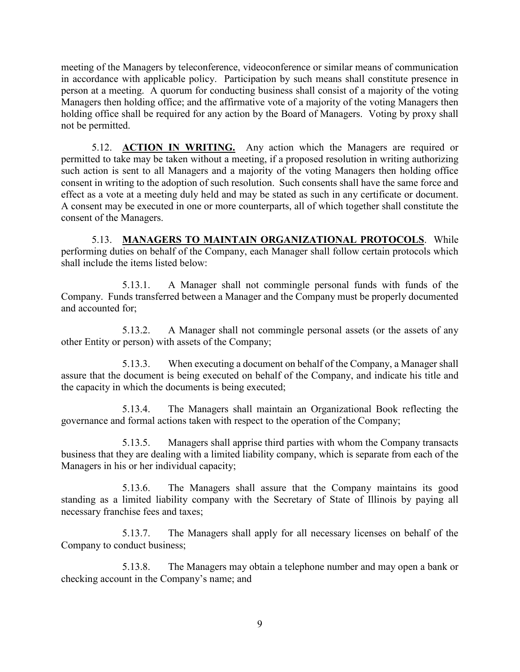meeting of the Managers by teleconference, videoconference or similar means of communication in accordance with applicable policy. Participation by such means shall constitute presence in person at a meeting. A quorum for conducting business shall consist of a majority of the voting Managers then holding office; and the affirmative vote of a majority of the voting Managers then holding office shall be required for any action by the Board of Managers. Voting by proxy shall not be permitted.

<span id="page-11-0"></span>5.12. **ACTION IN WRITING.** Any action which the Managers are required or permitted to take may be taken without a meeting, if a proposed resolution in writing authorizing such action is sent to all Managers and a majority of the voting Managers then holding office consent in writing to the adoption of such resolution. Such consents shall have the same force and effect as a vote at a meeting duly held and may be stated as such in any certificate or document. A consent may be executed in one or more counterparts, all of which together shall constitute the consent of the Managers.

<span id="page-11-1"></span>5.13. **MANAGERS TO MAINTAIN ORGANIZATIONAL PROTOCOLS**. While performing duties on behalf of the Company, each Manager shall follow certain protocols which shall include the items listed below:

5.13.1. A Manager shall not commingle personal funds with funds of the Company. Funds transferred between a Manager and the Company must be properly documented and accounted for;

5.13.2. A Manager shall not commingle personal assets (or the assets of any other Entity or person) with assets of the Company;

5.13.3. When executing a document on behalf of the Company, a Manager shall assure that the document is being executed on behalf of the Company, and indicate his title and the capacity in which the documents is being executed;

5.13.4. The Managers shall maintain an Organizational Book reflecting the governance and formal actions taken with respect to the operation of the Company;

5.13.5. Managers shall apprise third parties with whom the Company transacts business that they are dealing with a limited liability company, which is separate from each of the Managers in his or her individual capacity;

5.13.6. The Managers shall assure that the Company maintains its good standing as a limited liability company with the Secretary of State of Illinois by paying all necessary franchise fees and taxes;

5.13.7. The Managers shall apply for all necessary licenses on behalf of the Company to conduct business;

5.13.8. The Managers may obtain a telephone number and may open a bank or checking account in the Company's name; and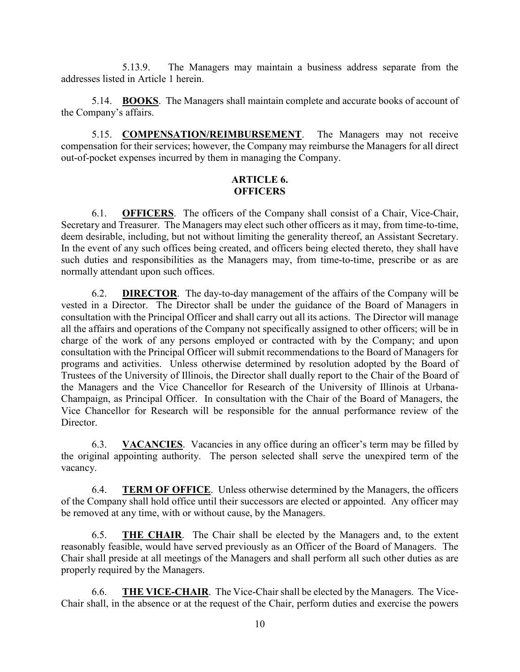5.13.9. The Managers may maintain a business address separate from the addresses listed in Article 1 herein.

<span id="page-12-0"></span>5.14. **BOOKS**. The Managers shall maintain complete and accurate books of account of the Company's affairs.

<span id="page-12-1"></span>5.15. **COMPENSATION/REIMBURSEMENT**. The Managers may not receive compensation for their services; however, the Company may reimburse the Managers for all direct out-of-pocket expenses incurred by them in managing the Company.

#### **ARTICLE 6. OFFICERS**

<span id="page-12-3"></span><span id="page-12-2"></span>6.1. **OFFICERS**. The officers of the Company shall consist of a Chair, Vice-Chair, Secretary and Treasurer. The Managers may elect such other officers as it may, from time-to-time, deem desirable, including, but not without limiting the generality thereof, an Assistant Secretary. In the event of any such offices being created, and officers being elected thereto, they shall have such duties and responsibilities as the Managers may, from time-to-time, prescribe or as are normally attendant upon such offices.

<span id="page-12-4"></span>6.2. **DIRECTOR**. The day-to-day management of the affairs of the Company will be vested in a Director. The Director shall be under the guidance of the Board of Managers in consultation with the Principal Officer and shall carry out all its actions. The Director will manage all the affairs and operations of the Company not specifically assigned to other officers; will be in charge of the work of any persons employed or contracted with by the Company; and upon consultation with the Principal Officer will submit recommendations to the Board of Managers for programs and activities. Unless otherwise determined by resolution adopted by the Board of Trustees of the University of Illinois, the Director shall dually report to the Chair of the Board of the Managers and the Vice Chancellor for Research of the University of Illinois at Urbana-Champaign, as Principal Officer. In consultation with the Chair of the Board of Managers, the Vice Chancellor for Research will be responsible for the annual performance review of the Director.

<span id="page-12-5"></span>6.3. **VACANCIES**. Vacancies in any office during an officer's term may be filled by the original appointing authority. The person selected shall serve the unexpired term of the vacancy.

<span id="page-12-6"></span>6.4. **TERM OF OFFICE**. Unless otherwise determined by the Managers, the officers of the Company shall hold office until their successors are elected or appointed. Any officer may be removed at any time, with or without cause, by the Managers.

<span id="page-12-7"></span>6.5. **THE CHAIR**.The Chair shall be elected by the Managers and, to the extent reasonably feasible, would have served previously as an Officer of the Board of Managers. The Chair shall preside at all meetings of the Managers and shall perform all such other duties as are properly required by the Managers.

<span id="page-12-8"></span>6.6. **THE VICE-CHAIR**. The Vice-Chair shall be elected by the Managers. The Vice-Chair shall, in the absence or at the request of the Chair, perform duties and exercise the powers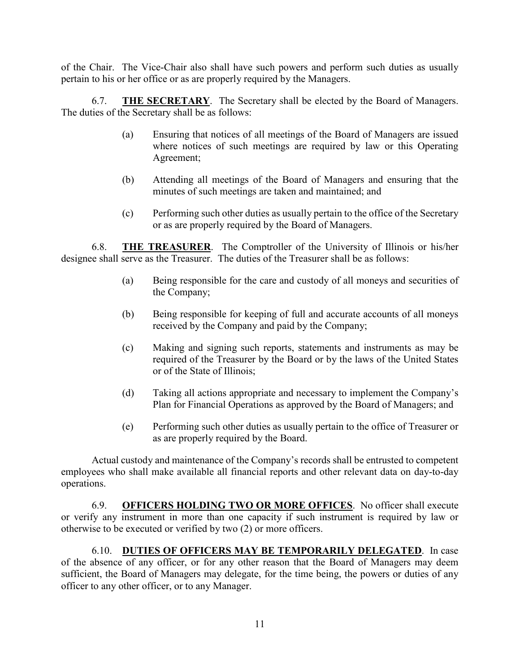of the Chair. The Vice-Chair also shall have such powers and perform such duties as usually pertain to his or her office or as are properly required by the Managers.

<span id="page-13-0"></span>6.7. **THE SECRETARY**. The Secretary shall be elected by the Board of Managers. The duties of the Secretary shall be as follows:

- (a) Ensuring that notices of all meetings of the Board of Managers are issued where notices of such meetings are required by law or this Operating Agreement;
- (b) Attending all meetings of the Board of Managers and ensuring that the minutes of such meetings are taken and maintained; and
- (c) Performing such other duties as usually pertain to the office of the Secretary or as are properly required by the Board of Managers.

<span id="page-13-1"></span>6.8. **THE TREASURER**. The Comptroller of the University of Illinois or his/her designee shall serve as the Treasurer. The duties of the Treasurer shall be as follows:

- (a) Being responsible for the care and custody of all moneys and securities of the Company;
- (b) Being responsible for keeping of full and accurate accounts of all moneys received by the Company and paid by the Company;
- (c) Making and signing such reports, statements and instruments as may be required of the Treasurer by the Board or by the laws of the United States or of the State of Illinois;
- (d) Taking all actions appropriate and necessary to implement the Company's Plan for Financial Operations as approved by the Board of Managers; and
- (e) Performing such other duties as usually pertain to the office of Treasurer or as are properly required by the Board.

Actual custody and maintenance of the Company's records shall be entrusted to competent employees who shall make available all financial reports and other relevant data on day-to-day operations.

<span id="page-13-2"></span>6.9. **OFFICERS HOLDING TWO OR MORE OFFICES**. No officer shall execute or verify any instrument in more than one capacity if such instrument is required by law or otherwise to be executed or verified by two (2) or more officers.

<span id="page-13-3"></span>6.10. **DUTIES OF OFFICERS MAY BE TEMPORARILY DELEGATED**. In case of the absence of any officer, or for any other reason that the Board of Managers may deem sufficient, the Board of Managers may delegate, for the time being, the powers or duties of any officer to any other officer, or to any Manager.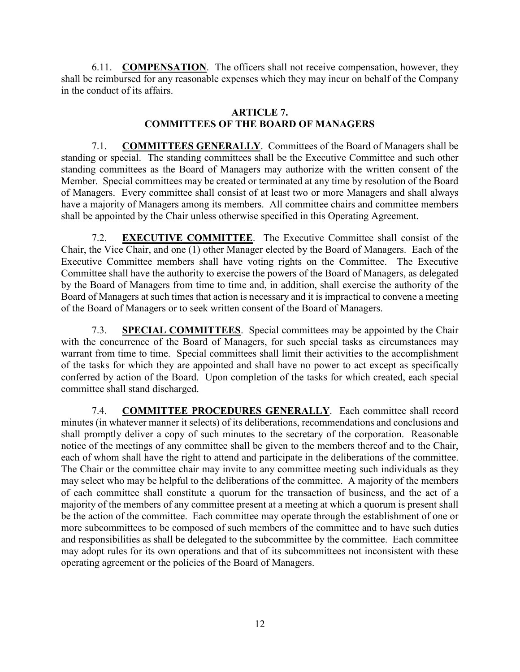<span id="page-14-0"></span>6.11. **COMPENSATION**. The officers shall not receive compensation, however, they shall be reimbursed for any reasonable expenses which they may incur on behalf of the Company in the conduct of its affairs.

#### **ARTICLE 7. COMMITTEES OF THE BOARD OF MANAGERS**

<span id="page-14-2"></span><span id="page-14-1"></span>7.1. **COMMITTEES GENERALLY**. Committees of the Board of Managers shall be standing or special. The standing committees shall be the Executive Committee and such other standing committees as the Board of Managers may authorize with the written consent of the Member. Special committees may be created or terminated at any time by resolution of the Board of Managers. Every committee shall consist of at least two or more Managers and shall always have a majority of Managers among its members. All committee chairs and committee members shall be appointed by the Chair unless otherwise specified in this Operating Agreement.

<span id="page-14-3"></span>7.2. **EXECUTIVE COMMITTEE**. The Executive Committee shall consist of the Chair, the Vice Chair, and one (1) other Manager elected by the Board of Managers.Each of the Executive Committee members shall have voting rights on the Committee. The Executive Committee shall have the authority to exercise the powers of the Board of Managers, as delegated by the Board of Managers from time to time and, in addition, shall exercise the authority of the Board of Managers at such times that action is necessary and it is impractical to convene a meeting of the Board of Managers or to seek written consent of the Board of Managers.

<span id="page-14-4"></span>7.3. **SPECIAL COMMITTEES**. Special committees may be appointed by the Chair with the concurrence of the Board of Managers, for such special tasks as circumstances may warrant from time to time. Special committees shall limit their activities to the accomplishment of the tasks for which they are appointed and shall have no power to act except as specifically conferred by action of the Board. Upon completion of the tasks for which created, each special committee shall stand discharged.

<span id="page-14-5"></span>7.4. **COMMITTEE PROCEDURES GENERALLY**. Each committee shall record minutes (in whatever manner it selects) of its deliberations, recommendations and conclusions and shall promptly deliver a copy of such minutes to the secretary of the corporation. Reasonable notice of the meetings of any committee shall be given to the members thereof and to the Chair, each of whom shall have the right to attend and participate in the deliberations of the committee. The Chair or the committee chair may invite to any committee meeting such individuals as they may select who may be helpful to the deliberations of the committee. A majority of the members of each committee shall constitute a quorum for the transaction of business, and the act of a majority of the members of any committee present at a meeting at which a quorum is present shall be the action of the committee. Each committee may operate through the establishment of one or more subcommittees to be composed of such members of the committee and to have such duties and responsibilities as shall be delegated to the subcommittee by the committee. Each committee may adopt rules for its own operations and that of its subcommittees not inconsistent with these operating agreement or the policies of the Board of Managers.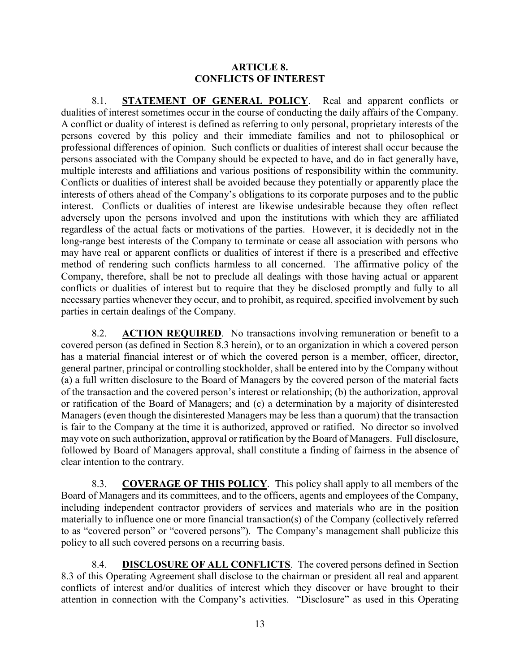#### **ARTICLE 8. CONFLICTS OF INTEREST**

<span id="page-15-1"></span><span id="page-15-0"></span>8.1. **STATEMENT OF GENERAL POLICY**. Real and apparent conflicts or dualities of interest sometimes occur in the course of conducting the daily affairs of the Company. A conflict or duality of interest is defined as referring to only personal, proprietary interests of the persons covered by this policy and their immediate families and not to philosophical or professional differences of opinion. Such conflicts or dualities of interest shall occur because the persons associated with the Company should be expected to have, and do in fact generally have, multiple interests and affiliations and various positions of responsibility within the community. Conflicts or dualities of interest shall be avoided because they potentially or apparently place the interests of others ahead of the Company's obligations to its corporate purposes and to the public interest. Conflicts or dualities of interest are likewise undesirable because they often reflect adversely upon the persons involved and upon the institutions with which they are affiliated regardless of the actual facts or motivations of the parties. However, it is decidedly not in the long-range best interests of the Company to terminate or cease all association with persons who may have real or apparent conflicts or dualities of interest if there is a prescribed and effective method of rendering such conflicts harmless to all concerned. The affirmative policy of the Company, therefore, shall be not to preclude all dealings with those having actual or apparent conflicts or dualities of interest but to require that they be disclosed promptly and fully to all necessary parties whenever they occur, and to prohibit, as required, specified involvement by such parties in certain dealings of the Company.

<span id="page-15-2"></span>8.2. **ACTION REQUIRED**. No transactions involving remuneration or benefit to a covered person (as defined in Section 8.3 herein), or to an organization in which a covered person has a material financial interest or of which the covered person is a member, officer, director, general partner, principal or controlling stockholder, shall be entered into by the Company without (a) a full written disclosure to the Board of Managers by the covered person of the material facts of the transaction and the covered person's interest or relationship; (b) the authorization, approval or ratification of the Board of Managers; and (c) a determination by a majority of disinterested Managers (even though the disinterested Managers may be less than a quorum) that the transaction is fair to the Company at the time it is authorized, approved or ratified. No director so involved may vote on such authorization, approval or ratification by the Board of Managers. Full disclosure, followed by Board of Managers approval, shall constitute a finding of fairness in the absence of clear intention to the contrary.

<span id="page-15-3"></span>8.3. **COVERAGE OF THIS POLICY**. This policy shall apply to all members of the Board of Managers and its committees, and to the officers, agents and employees of the Company, including independent contractor providers of services and materials who are in the position materially to influence one or more financial transaction(s) of the Company (collectively referred to as "covered person" or "covered persons"). The Company's management shall publicize this policy to all such covered persons on a recurring basis.

<span id="page-15-4"></span>8.4. **DISCLOSURE OF ALL CONFLICTS**. The covered persons defined in Section 8.3 of this Operating Agreement shall disclose to the chairman or president all real and apparent conflicts of interest and/or dualities of interest which they discover or have brought to their attention in connection with the Company's activities. "Disclosure" as used in this Operating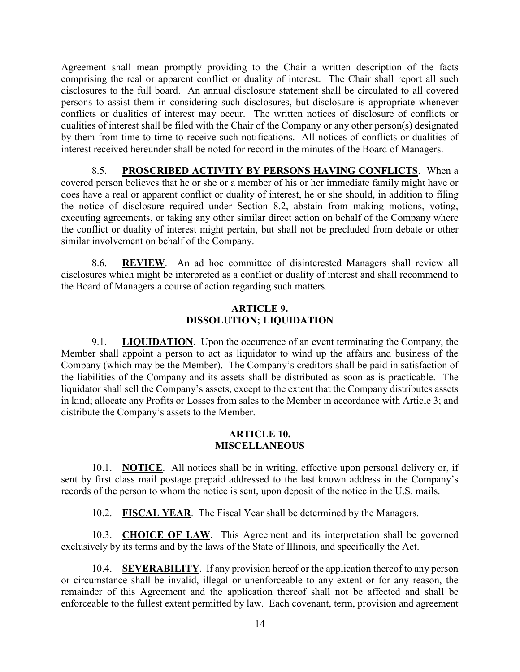Agreement shall mean promptly providing to the Chair a written description of the facts comprising the real or apparent conflict or duality of interest. The Chair shall report all such disclosures to the full board. An annual disclosure statement shall be circulated to all covered persons to assist them in considering such disclosures, but disclosure is appropriate whenever conflicts or dualities of interest may occur. The written notices of disclosure of conflicts or dualities of interest shall be filed with the Chair of the Company or any other person(s) designated by them from time to time to receive such notifications. All notices of conflicts or dualities of interest received hereunder shall be noted for record in the minutes of the Board of Managers.

<span id="page-16-0"></span>8.5. **PROSCRIBED ACTIVITY BY PERSONS HAVING CONFLICTS**. When a covered person believes that he or she or a member of his or her immediate family might have or does have a real or apparent conflict or duality of interest, he or she should, in addition to filing the notice of disclosure required under Section 8.2, abstain from making motions, voting, executing agreements, or taking any other similar direct action on behalf of the Company where the conflict or duality of interest might pertain, but shall not be precluded from debate or other similar involvement on behalf of the Company.

<span id="page-16-1"></span>8.6. **REVIEW**. An ad hoc committee of disinterested Managers shall review all disclosures which might be interpreted as a conflict or duality of interest and shall recommend to the Board of Managers a course of action regarding such matters.

#### **ARTICLE 9. DISSOLUTION; LIQUIDATION**

<span id="page-16-3"></span><span id="page-16-2"></span>9.1. **LIQUIDATION**. Upon the occurrence of an event terminating the Company, the Member shall appoint a person to act as liquidator to wind up the affairs and business of the Company (which may be the Member). The Company's creditors shall be paid in satisfaction of the liabilities of the Company and its assets shall be distributed as soon as is practicable. The liquidator shall sell the Company's assets, except to the extent that the Company distributes assets in kind; allocate any Profits or Losses from sales to the Member in accordance with Article 3; and distribute the Company's assets to the Member.

#### **ARTICLE 10. MISCELLANEOUS**

<span id="page-16-5"></span><span id="page-16-4"></span>10.1. **NOTICE**. All notices shall be in writing, effective upon personal delivery or, if sent by first class mail postage prepaid addressed to the last known address in the Company's records of the person to whom the notice is sent, upon deposit of the notice in the U.S. mails.

10.2. **FISCAL YEAR**. The Fiscal Year shall be determined by the Managers.

<span id="page-16-7"></span><span id="page-16-6"></span>10.3. **CHOICE OF LAW**. This Agreement and its interpretation shall be governed exclusively by its terms and by the laws of the State of Illinois, and specifically the Act.

<span id="page-16-8"></span>10.4. **SEVERABILITY**. If any provision hereof or the application thereof to any person or circumstance shall be invalid, illegal or unenforceable to any extent or for any reason, the remainder of this Agreement and the application thereof shall not be affected and shall be enforceable to the fullest extent permitted by law. Each covenant, term, provision and agreement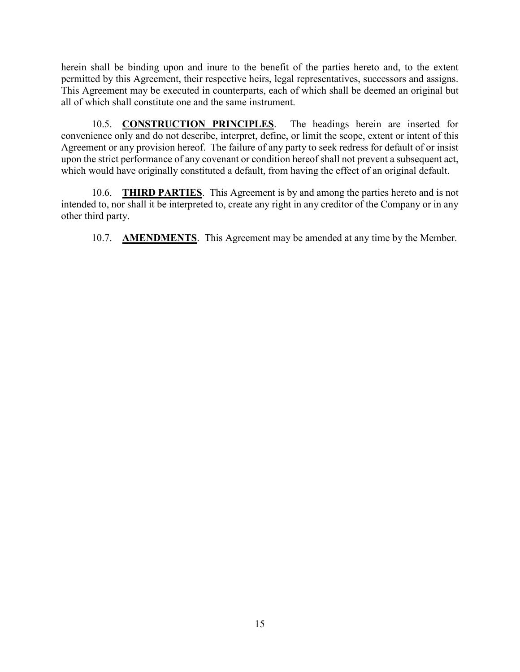herein shall be binding upon and inure to the benefit of the parties hereto and, to the extent permitted by this Agreement, their respective heirs, legal representatives, successors and assigns. This Agreement may be executed in counterparts, each of which shall be deemed an original but all of which shall constitute one and the same instrument.

<span id="page-17-0"></span>10.5. **CONSTRUCTION PRINCIPLES**. The headings herein are inserted for convenience only and do not describe, interpret, define, or limit the scope, extent or intent of this Agreement or any provision hereof. The failure of any party to seek redress for default of or insist upon the strict performance of any covenant or condition hereof shall not prevent a subsequent act, which would have originally constituted a default, from having the effect of an original default.

<span id="page-17-1"></span>10.6. **THIRD PARTIES**. This Agreement is by and among the parties hereto and is not intended to, nor shall it be interpreted to, create any right in any creditor of the Company or in any other third party.

<span id="page-17-2"></span>10.7. **AMENDMENTS**. This Agreement may be amended at any time by the Member.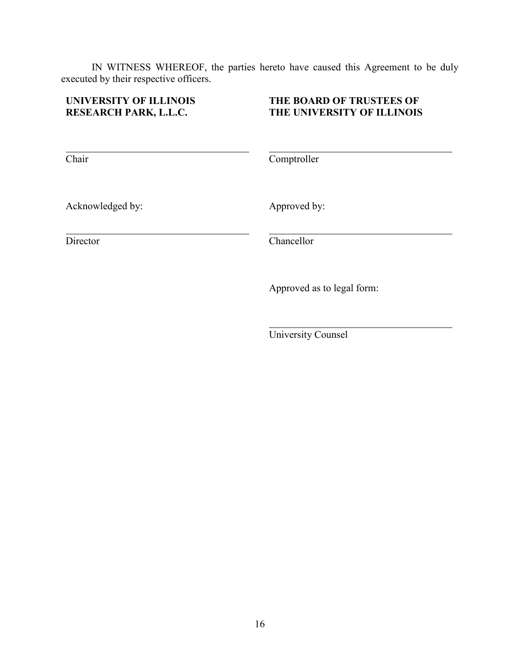IN WITNESS WHEREOF, the parties hereto have caused this Agreement to be duly executed by their respective officers.

## **UNIVERSITY OF ILLINOIS RESEARCH PARK, L.L.C.**

## **THE BOARD OF TRUSTEES OF THE UNIVERSITY OF ILLINOIS**

Chair

**Comptroller** 

Acknowledged by:

Director

Approved by:

Chancellor

Approved as to legal form:

University Counsel